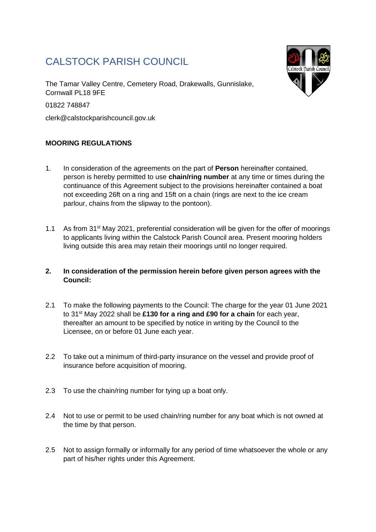# CALSTOCK PARISH COUNCIL



The Tamar Valley Centre, Cemetery Road, Drakewalls, Gunnislake, Cornwall PL18 9FE 01822 748847 clerk@calstockparishcouncil.gov.uk

## **MOORING REGULATIONS**

- 1. In consideration of the agreements on the part of **Person** hereinafter contained, person is hereby permitted to use **chain/ring number** at any time or times during the continuance of this Agreement subject to the provisions hereinafter contained a boat not exceeding 26ft on a ring and 15ft on a chain (rings are next to the ice cream parlour, chains from the slipway to the pontoon).
- 1.1 As from 31<sup>st</sup> May 2021, preferential consideration will be given for the offer of moorings to applicants living within the Calstock Parish Council area. Present mooring holders living outside this area may retain their moorings until no longer required.

### **2. In consideration of the permission herein before given person agrees with the Council:**

- 2.1 To make the following payments to the Council: The charge for the year 01 June 2021 to 31st May 2022 shall be **£130 for a ring and £90 for a chain** for each year, thereafter an amount to be specified by notice in writing by the Council to the Licensee, on or before 01 June each year.
- 2.2 To take out a minimum of third-party insurance on the vessel and provide proof of insurance before acquisition of mooring.
- 2.3 To use the chain/ring number for tying up a boat only.
- 2.4 Not to use or permit to be used chain/ring number for any boat which is not owned at the time by that person.
- 2.5 Not to assign formally or informally for any period of time whatsoever the whole or any part of his/her rights under this Agreement.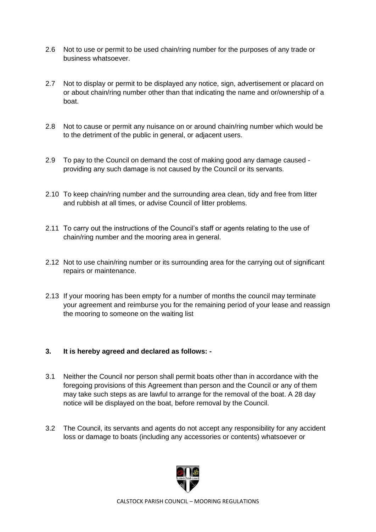- 2.6 Not to use or permit to be used chain/ring number for the purposes of any trade or business whatsoever.
- 2.7 Not to display or permit to be displayed any notice, sign, advertisement or placard on or about chain/ring number other than that indicating the name and or/ownership of a boat.
- 2.8 Not to cause or permit any nuisance on or around chain/ring number which would be to the detriment of the public in general, or adjacent users.
- 2.9 To pay to the Council on demand the cost of making good any damage caused providing any such damage is not caused by the Council or its servants.
- 2.10 To keep chain/ring number and the surrounding area clean, tidy and free from litter and rubbish at all times, or advise Council of litter problems.
- 2.11 To carry out the instructions of the Council's staff or agents relating to the use of chain/ring number and the mooring area in general.
- 2.12 Not to use chain/ring number or its surrounding area for the carrying out of significant repairs or maintenance.
- 2.13 If your mooring has been empty for a number of months the council may terminate your agreement and reimburse you for the remaining period of your lease and reassign the mooring to someone on the waiting list

#### **3. It is hereby agreed and declared as follows: -**

- 3.1 Neither the Council nor person shall permit boats other than in accordance with the foregoing provisions of this Agreement than person and the Council or any of them may take such steps as are lawful to arrange for the removal of the boat. A 28 day notice will be displayed on the boat, before removal by the Council.
- 3.2 The Council, its servants and agents do not accept any responsibility for any accident loss or damage to boats (including any accessories or contents) whatsoever or

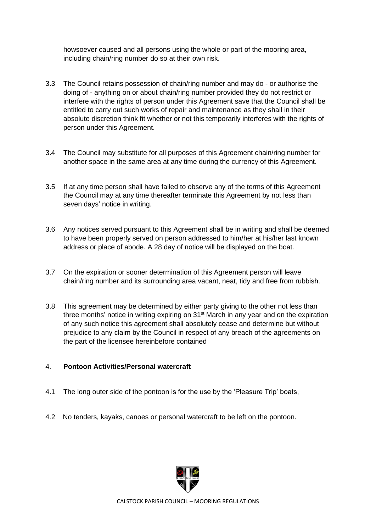howsoever caused and all persons using the whole or part of the mooring area, including chain/ring number do so at their own risk.

- 3.3 The Council retains possession of chain/ring number and may do or authorise the doing of - anything on or about chain/ring number provided they do not restrict or interfere with the rights of person under this Agreement save that the Council shall be entitled to carry out such works of repair and maintenance as they shall in their absolute discretion think fit whether or not this temporarily interferes with the rights of person under this Agreement.
- 3.4 The Council may substitute for all purposes of this Agreement chain/ring number for another space in the same area at any time during the currency of this Agreement.
- 3.5 If at any time person shall have failed to observe any of the terms of this Agreement the Council may at any time thereafter terminate this Agreement by not less than seven days' notice in writing.
- 3.6 Any notices served pursuant to this Agreement shall be in writing and shall be deemed to have been properly served on person addressed to him/her at his/her last known address or place of abode. A 28 day of notice will be displayed on the boat.
- 3.7 On the expiration or sooner determination of this Agreement person will leave chain/ring number and its surrounding area vacant, neat, tidy and free from rubbish.
- 3.8 This agreement may be determined by either party giving to the other not less than three months' notice in writing expiring on 31<sup>st</sup> March in any year and on the expiration of any such notice this agreement shall absolutely cease and determine but without prejudice to any claim by the Council in respect of any breach of the agreements on the part of the licensee hereinbefore contained

#### 4. **Pontoon Activities/Personal watercraft**

- 4.1 The long outer side of the pontoon is for the use by the 'Pleasure Trip' boats,
- 4.2 No tenders, kayaks, canoes or personal watercraft to be left on the pontoon.